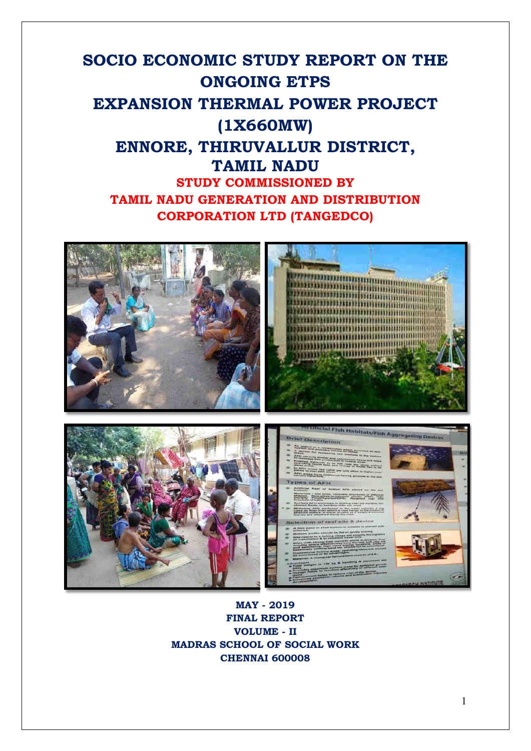# **SOCIO ECONOMIC STUDY REPORT ON THE ONGOING ETPS EXPANSION THERMAL POWER PROJECT (1X660MW) ENNORE, THIRUVALLUR DISTRICT, TAMIL NADU STUDY COMMISSIONED BY TAMIL NADU GENERATION AND DISTRIBUTION CORPORATION LTD (TANGEDCO)**



**MAY - 2019 FINAL REPORT VOLUME - II MADRAS SCHOOL OF SOCIAL WORK CHENNAI 600008**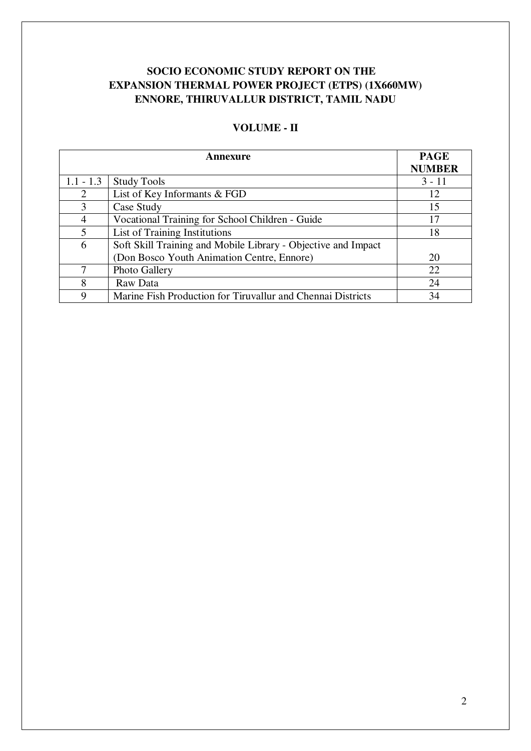# **SOCIO ECONOMIC STUDY REPORT ON THE EXPANSION THERMAL POWER PROJECT (ETPS) (1X660MW) ENNORE, THIRUVALLUR DISTRICT, TAMIL NADU**

|                | <b>PAGE</b>                                                   |               |
|----------------|---------------------------------------------------------------|---------------|
|                |                                                               | <b>NUMBER</b> |
| $1.1 - 1.3$    | <b>Study Tools</b>                                            | $3 - 11$      |
| $\overline{2}$ | List of Key Informants & FGD                                  | 12            |
| 3              | Case Study                                                    | 15            |
| $\overline{4}$ | Vocational Training for School Children - Guide               | 17            |
| 5              | List of Training Institutions                                 | 18            |
| 6              | Soft Skill Training and Mobile Library - Objective and Impact |               |
|                | (Don Bosco Youth Animation Centre, Ennore)                    | 20            |
| 7              | Photo Gallery                                                 | 22            |
| 8              | Raw Data                                                      | 24            |
| 9              | Marine Fish Production for Tiruvallur and Chennai Districts   | 34            |

# **VOLUME - II**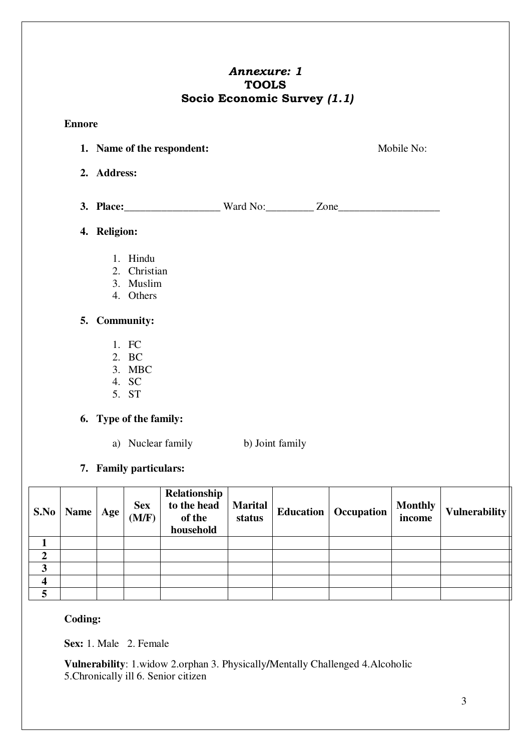# *Annexure: 1*  **TOOLS Socio Economic Survey** *(1.1)*

### **Ennore**

**1. Name of the respondent:** Mobile No: **2. Address:** 

**3. Place:** Ward No: Zone

## **4. Religion:**

- 1. Hindu
- 2. Christian
- 3. Muslim
- 4. Others

# **5. Community:**

- 1. FC
- 2. BC
- 3. MBC
- 4. SC 5. ST

# **6. Type of the family:**

- a) Nuclear family b) Joint family
- **7. Family particulars:**

|                  | S.No   Name | Age | <b>Sex</b><br>(M/F) | Relationship<br>to the head<br>of the<br>household | <b>Marital</b><br>status | <b>Education</b>   Occupation | <b>Monthly</b><br>income | Vulnerability |
|------------------|-------------|-----|---------------------|----------------------------------------------------|--------------------------|-------------------------------|--------------------------|---------------|
|                  |             |     |                     |                                                    |                          |                               |                          |               |
| $\boldsymbol{2}$ |             |     |                     |                                                    |                          |                               |                          |               |
| 3                |             |     |                     |                                                    |                          |                               |                          |               |
| 4                |             |     |                     |                                                    |                          |                               |                          |               |
| 5                |             |     |                     |                                                    |                          |                               |                          |               |

# **Coding:**

**Sex:** 1. Male 2. Female

**Vulnerability**: 1.widow 2.orphan 3. Physically**/**Mentally Challenged 4.Alcoholic 5.Chronically ill 6. Senior citizen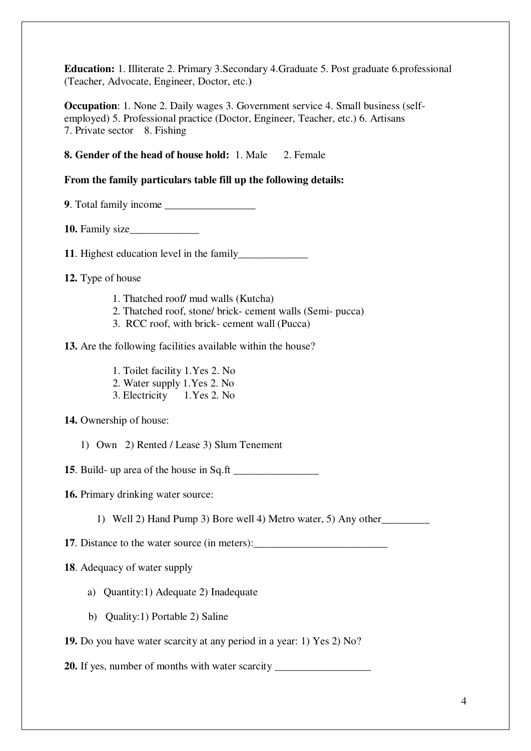**Education:** 1. Illiterate 2. Primary 3.Secondary 4.Graduate 5. Post graduate 6.professional (Teacher, Advocate, Engineer, Doctor, etc.**)** 

**Occupation**: 1. None 2. Daily wages 3. Government service 4. Small business (selfemployed) 5. Professional practice (Doctor, Engineer, Teacher, etc.) 6. Artisans 7. Private sector 8. Fishing

### **8. Gender of the head of house hold:** 1. Male 2. Female

### **From the family particulars table fill up the following details:**

**9**. Total family income \_\_\_\_\_\_\_\_\_\_\_\_\_\_\_\_\_

**10.** Family size\_\_\_\_\_\_\_\_\_\_\_\_\_

**11**. Highest education level in the family\_\_\_\_\_\_\_\_\_\_\_\_\_

**12.** Type of house

- 1. Thatched roof**/** mud walls (Kutcha)
- 2. Thatched roof, stone/ brick- cement walls (Semi- pucca)
- 3. RCC roof, with brick- cement wall (Pucca)

**13.** Are the following facilities available within the house?

- 1. Toilet facility 1.Yes 2. No
- 2. Water supply 1.Yes 2. No
- 3. Electricity 1.Yes 2. No
- **14.** Ownership of house:
	- 1) Own 2) Rented / Lease 3) Slum Tenement

**15**. Build- up area of the house in Sq.ft \_\_\_\_\_\_\_\_\_\_\_\_\_\_\_\_

**16.** Primary drinking water source:

1) Well 2) Hand Pump 3) Bore well 4) Metro water, 5) Any other\_\_\_\_\_\_\_\_\_

**17**. Distance to the water source (in meters):

### **18**. Adequacy of water supply

- a) Quantity:1) Adequate 2) Inadequate
- b) Quality:1) Portable 2) Saline

**19.** Do you have water scarcity at any period in a year: 1) Yes 2) No?

**20.** If yes, number of months with water scarcity \_\_\_\_\_\_\_\_\_\_\_\_\_\_\_\_\_\_\_\_\_\_\_\_\_\_\_\_\_\_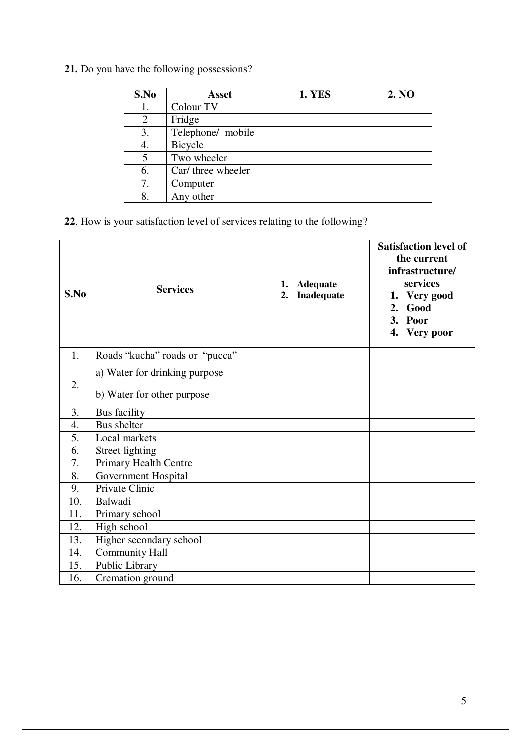**21.** Do you have the following possessions?

| S.No | <b>Asset</b>       | <b>1. YES</b> | 2. NO |
|------|--------------------|---------------|-------|
| 1.   | Colour TV          |               |       |
| 2    | Fridge             |               |       |
| 3.   | Telephone/ mobile  |               |       |
| 4.   | Bicycle            |               |       |
| 5    | Two wheeler        |               |       |
| 6.   | Car/ three wheeler |               |       |
| 7.   | Computer           |               |       |
| 8.   | Any other          |               |       |

**22**. How is your satisfaction level of services relating to the following?

| S.No | <b>Services</b>                                             | <b>Adequate</b><br>1.<br>Inadequate<br>2. | <b>Satisfaction level of</b><br>the current<br>infrastructure/<br>services<br>1. Very good<br>Good<br>2.<br>3. Poor<br>4. Very poor |
|------|-------------------------------------------------------------|-------------------------------------------|-------------------------------------------------------------------------------------------------------------------------------------|
| 1.   | Roads "kucha" roads or "pucca"                              |                                           |                                                                                                                                     |
| 2.   | a) Water for drinking purpose<br>b) Water for other purpose |                                           |                                                                                                                                     |
|      |                                                             |                                           |                                                                                                                                     |
| 3.   | <b>Bus</b> facility                                         |                                           |                                                                                                                                     |
| 4.   | <b>Bus shelter</b>                                          |                                           |                                                                                                                                     |
| 5.   | Local markets                                               |                                           |                                                                                                                                     |
| 6.   | Street lighting                                             |                                           |                                                                                                                                     |
| 7.   | <b>Primary Health Centre</b>                                |                                           |                                                                                                                                     |
| 8.   | <b>Government Hospital</b>                                  |                                           |                                                                                                                                     |
| 9.   | Private Clinic                                              |                                           |                                                                                                                                     |
| 10.  | Balwadi                                                     |                                           |                                                                                                                                     |
| 11.  | Primary school                                              |                                           |                                                                                                                                     |
| 12.  | High school                                                 |                                           |                                                                                                                                     |
| 13.  | Higher secondary school                                     |                                           |                                                                                                                                     |
| 14.  | <b>Community Hall</b>                                       |                                           |                                                                                                                                     |
| 15.  | Public Library                                              |                                           |                                                                                                                                     |
| 16.  | Cremation ground                                            |                                           |                                                                                                                                     |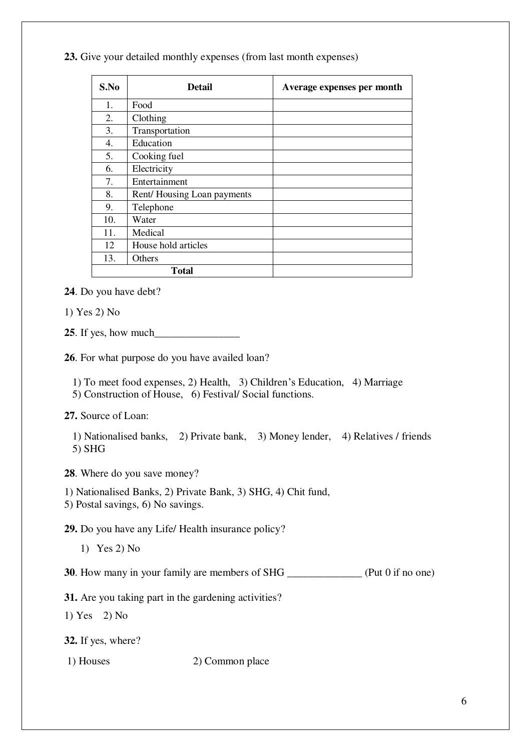### **23.** Give your detailed monthly expenses (from last month expenses)

| S.No | <b>Detail</b>              | Average expenses per month |
|------|----------------------------|----------------------------|
| 1.   | Food                       |                            |
| 2.   | Clothing                   |                            |
| 3.   | Transportation             |                            |
| 4.   | Education                  |                            |
| 5.   | Cooking fuel               |                            |
| 6.   | Electricity                |                            |
| 7.   | Entertainment              |                            |
| 8.   | Rent/Housing Loan payments |                            |
| 9.   | Telephone                  |                            |
| 10.  | Water                      |                            |
| 11.  | Medical                    |                            |
| 12   | House hold articles        |                            |
| 13.  | Others                     |                            |
|      | <b>Total</b>               |                            |

**24**. Do you have debt?

1) Yes 2) No

25. If yes, how much

**26**. For what purpose do you have availed loan?

1) To meet food expenses, 2) Health, 3) Children's Education, 4) Marriage

5) Construction of House, 6) Festival/ Social functions.

**27.** Source of Loan:

 1) Nationalised banks, 2) Private bank, 3) Money lender, 4) Relatives / friends 5) SHG

**28**. Where do you save money?

1) Nationalised Banks, 2) Private Bank, 3) SHG, 4) Chit fund,

5) Postal savings, 6) No savings.

**29.** Do you have any Life/ Health insurance policy?

1) Yes 2) No

**30**. How many in your family are members of SHG \_\_\_\_\_\_\_\_\_\_\_\_\_\_ (Put 0 if no one)

**31.** Are you taking part in the gardening activities?

1) Yes 2) No

**32.** If yes, where?

1) Houses 2) Common place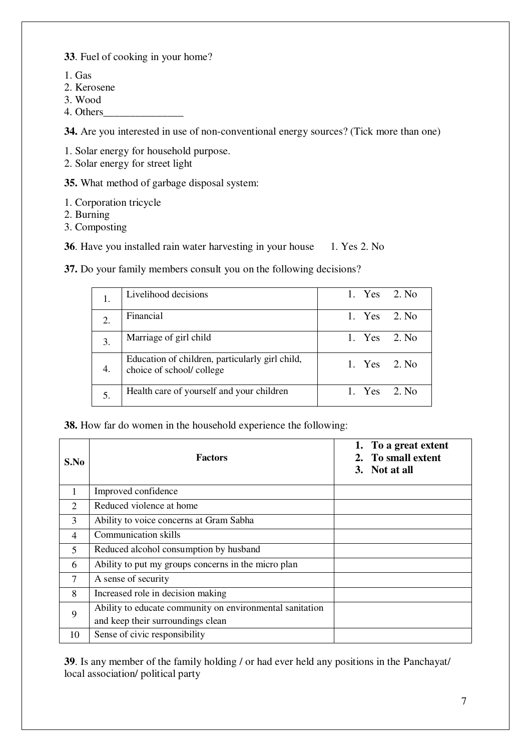**33**. Fuel of cooking in your home?

- 1. Gas
- 2. Kerosene
- 3. Wood
- 4. Others\_\_\_\_\_\_\_\_\_\_\_\_\_\_\_

**34.** Are you interested in use of non-conventional energy sources? (Tick more than one)

1. Solar energy for household purpose.

2. Solar energy for street light

**35.** What method of garbage disposal system:

- 1. Corporation tricycle
- 2. Burning
- 3. Composting

**36**. Have you installed rain water harvesting in your house 1. Yes 2. No

**37.** Do your family members consult you on the following decisions?

| 1.               | Livelihood decisions                                                        |        | 1. Yes 2. No |
|------------------|-----------------------------------------------------------------------------|--------|--------------|
| $\overline{2}$ . | Financial                                                                   | 1. Yes | -2. No       |
| 3.               | Marriage of girl child                                                      | 1. Yes | 2. No        |
| 4.               | Education of children, particularly girl child,<br>choice of school/college |        | 1. Yes 2. No |
| 5.               | Health care of yourself and your children                                   | 1. Yes | 2. No        |

**38.** How far do women in the household experience the following:

| S.No         | <b>Factors</b>                                                                                | 1. To a great extent<br>2. To small extent<br>3. Not at all |
|--------------|-----------------------------------------------------------------------------------------------|-------------------------------------------------------------|
| $\mathbf{1}$ | Improved confidence                                                                           |                                                             |
| 2            | Reduced violence at home                                                                      |                                                             |
| 3            | Ability to voice concerns at Gram Sabha                                                       |                                                             |
| 4            | <b>Communication skills</b>                                                                   |                                                             |
| 5            | Reduced alcohol consumption by husband                                                        |                                                             |
| 6            | Ability to put my groups concerns in the micro plan                                           |                                                             |
| 7            | A sense of security                                                                           |                                                             |
| 8            | Increased role in decision making                                                             |                                                             |
| 9            | Ability to educate community on environmental sanitation<br>and keep their surroundings clean |                                                             |
| 10           | Sense of civic responsibility                                                                 |                                                             |

**39**. Is any member of the family holding / or had ever held any positions in the Panchayat/ local association/ political party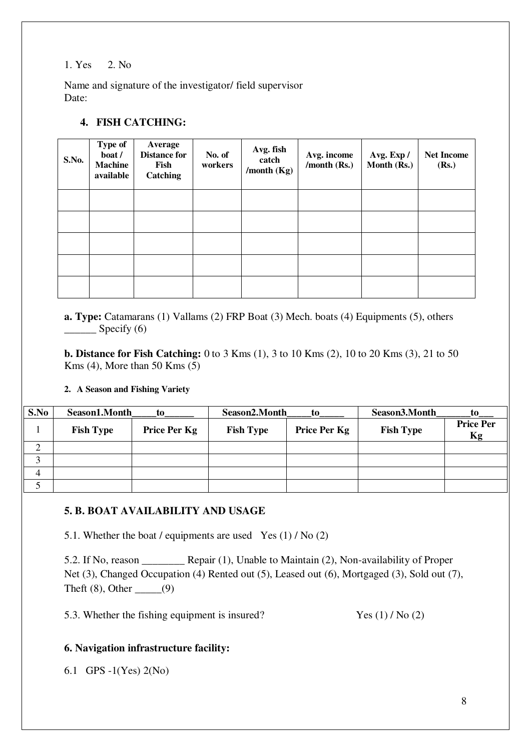### 1. Yes 2. No

Name and signature of the investigator/ field supervisor Date:

## **4. FISH CATCHING:**

| S.No. | Type of<br>boat /<br><b>Machine</b><br>available | Average<br><b>Distance for</b><br>Fish<br>Catching | No. of<br>workers | Avg. fish<br>catch<br>/month $(Kg)$ | Avg. income<br>/month $(Rs.)$ | Avg. Exp /<br>Month (Rs.) | <b>Net Income</b><br>(Rs.) |
|-------|--------------------------------------------------|----------------------------------------------------|-------------------|-------------------------------------|-------------------------------|---------------------------|----------------------------|
|       |                                                  |                                                    |                   |                                     |                               |                           |                            |
|       |                                                  |                                                    |                   |                                     |                               |                           |                            |
|       |                                                  |                                                    |                   |                                     |                               |                           |                            |
|       |                                                  |                                                    |                   |                                     |                               |                           |                            |
|       |                                                  |                                                    |                   |                                     |                               |                           |                            |

**a. Type:** Catamarans (1) Vallams (2) FRP Boat (3) Mech. boats (4) Equipments (5), others  $Specify (6)$ 

**b. Distance for Fish Catching:** 0 to 3 Kms (1), 3 to 10 Kms (2), 10 to 20 Kms (3), 21 to 50 Kms  $(4)$ , More than 50 Kms  $(5)$ 

### **2. A Season and Fishing Variety**

| S.No | Season1.Month    | to           | Season2.Month    | to           | Season3.Month    | to                     |
|------|------------------|--------------|------------------|--------------|------------------|------------------------|
|      | <b>Fish Type</b> | Price Per Kg | <b>Fish Type</b> | Price Per Kg | <b>Fish Type</b> | <b>Price Per</b><br>Kg |
|      |                  |              |                  |              |                  |                        |
|      |                  |              |                  |              |                  |                        |
|      |                  |              |                  |              |                  |                        |
|      |                  |              |                  |              |                  |                        |

### **5. B. BOAT AVAILABILITY AND USAGE**

5.1. Whether the boat / equipments are used Yes  $(1)$  / No  $(2)$ 

5.2. If No, reason \_\_\_\_\_\_\_\_ Repair (1), Unable to Maintain (2), Non-availability of Proper Net (3), Changed Occupation (4) Rented out (5), Leased out (6), Mortgaged (3), Sold out (7), Theft  $(8)$ , Other \_\_\_\_\_(9)

5.3. Whether the fishing equipment is insured? Yes (1) / No (2)

### **6. Navigation infrastructure facility:**

6.1 GPS -1(Yes) 2(No)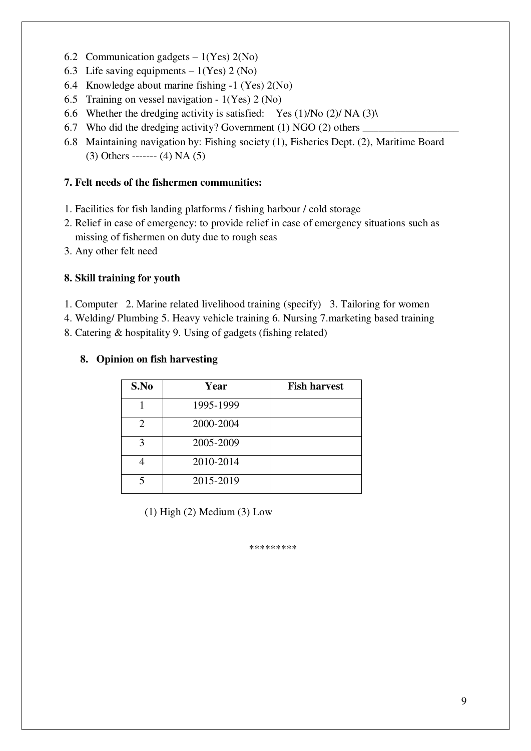- 6.2 Communication gadgets  $-1(Yes)$  2(No)
- 6.3 Life saving equipments  $-1(Yes) 2 (No)$
- 6.4 Knowledge about marine fishing -1 (Yes) 2(No)
- 6.5 Training on vessel navigation 1(Yes) 2 (No)
- 6.6 Whether the dredging activity is satisfied: Yes  $(1)/N$ o  $(2)/N$ A $(3)$
- 6.7 Who did the dredging activity? Government  $(1)$  NGO  $(2)$  others  $\blacksquare$
- 6.8 Maintaining navigation by: Fishing society (1), Fisheries Dept. (2), Maritime Board  $(3)$  Others -------  $(4)$  NA  $(5)$

### **7. Felt needs of the fishermen communities:**

- 1. Facilities for fish landing platforms / fishing harbour / cold storage
- 2. Relief in case of emergency: to provide relief in case of emergency situations such as missing of fishermen on duty due to rough seas
- 3. Any other felt need

### **8. Skill training for youth**

- 1. Computer 2. Marine related livelihood training (specify) 3. Tailoring for women
- 4. Welding/ Plumbing 5. Heavy vehicle training 6. Nursing 7.marketing based training

8. Catering & hospitality 9. Using of gadgets (fishing related)

| S.No | Year      | <b>Fish harvest</b> |
|------|-----------|---------------------|
|      | 1995-1999 |                     |
| 2    | 2000-2004 |                     |
| 3    | 2005-2009 |                     |
|      | 2010-2014 |                     |
| 5    | 2015-2019 |                     |

### **8. Opinion on fish harvesting**

(1) High (2) Medium (3) Low

\*\*\*\*\*\*\*\*\*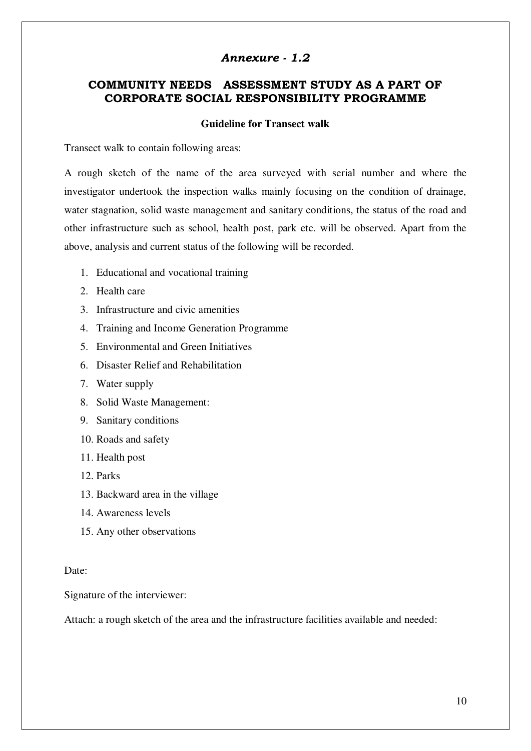### *Annexure - 1.2*

# **COMMUNITY NEEDS ASSESSMENT STUDY AS A PART OF CORPORATE SOCIAL RESPONSIBILITY PROGRAMME**

### **Guideline for Transect walk**

Transect walk to contain following areas:

A rough sketch of the name of the area surveyed with serial number and where the investigator undertook the inspection walks mainly focusing on the condition of drainage, water stagnation, solid waste management and sanitary conditions, the status of the road and other infrastructure such as school, health post, park etc. will be observed. Apart from the above, analysis and current status of the following will be recorded.

- 1. Educational and vocational training
- 2. Health care
- 3. Infrastructure and civic amenities
- 4. Training and Income Generation Programme
- 5. Environmental and Green Initiatives
- 6. Disaster Relief and Rehabilitation
- 7. Water supply
- 8. Solid Waste Management:
- 9. Sanitary conditions
- 10. Roads and safety
- 11. Health post
- 12. Parks
- 13. Backward area in the village
- 14. Awareness levels
- 15. Any other observations

### Date:

Signature of the interviewer:

Attach: a rough sketch of the area and the infrastructure facilities available and needed: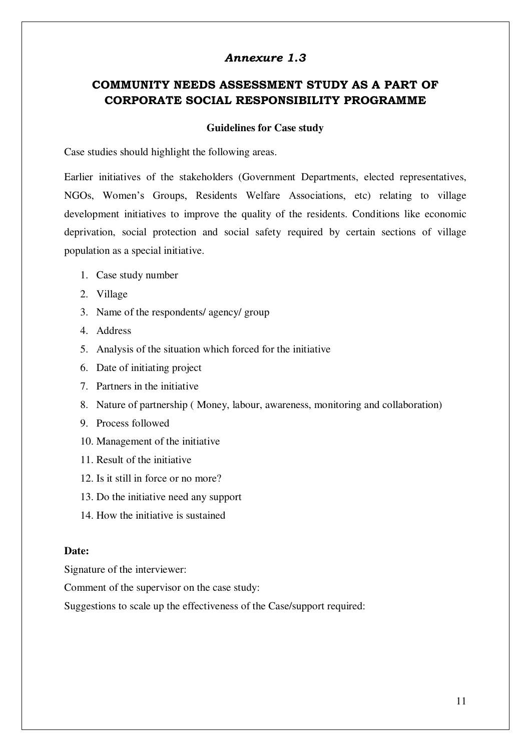### *Annexure 1.3*

# **COMMUNITY NEEDS ASSESSMENT STUDY AS A PART OF CORPORATE SOCIAL RESPONSIBILITY PROGRAMME**

#### **Guidelines for Case study**

Case studies should highlight the following areas.

Earlier initiatives of the stakeholders (Government Departments, elected representatives, NGOs, Women's Groups, Residents Welfare Associations, etc) relating to village development initiatives to improve the quality of the residents. Conditions like economic deprivation, social protection and social safety required by certain sections of village population as a special initiative.

- 1. Case study number
- 2. Village
- 3. Name of the respondents/ agency/ group
- 4. Address
- 5. Analysis of the situation which forced for the initiative
- 6. Date of initiating project
- 7. Partners in the initiative
- 8. Nature of partnership ( Money, labour, awareness, monitoring and collaboration)
- 9. Process followed
- 10. Management of the initiative
- 11. Result of the initiative
- 12. Is it still in force or no more?
- 13. Do the initiative need any support
- 14. How the initiative is sustained

### **Date:**

Signature of the interviewer:

Comment of the supervisor on the case study:

Suggestions to scale up the effectiveness of the Case/support required: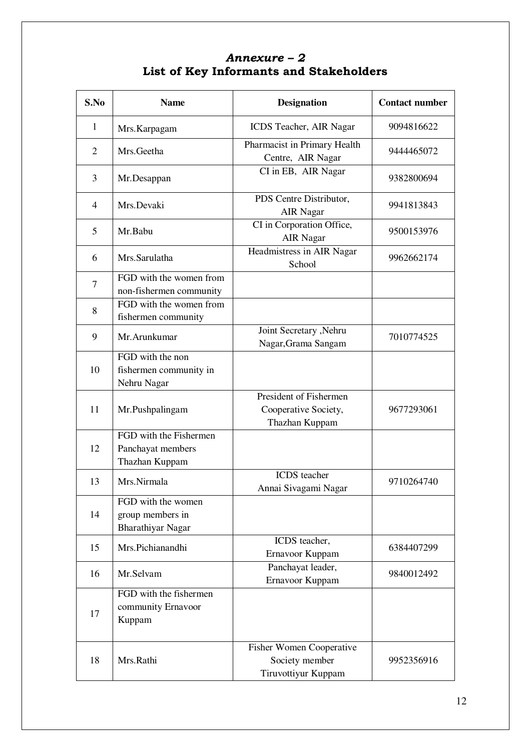# *Annexure – 2*  **List of Key Informants and Stakeholders**

| S.No           | <b>Name</b>                                                        | <b>Designation</b>                                                       | <b>Contact number</b> |
|----------------|--------------------------------------------------------------------|--------------------------------------------------------------------------|-----------------------|
| 1              | Mrs.Karpagam                                                       | ICDS Teacher, AIR Nagar                                                  | 9094816622            |
| $\overline{2}$ | Mrs.Geetha                                                         | Pharmacist in Primary Health<br>Centre, AIR Nagar                        | 9444465072            |
| 3              | Mr.Desappan                                                        | CI in EB, AIR Nagar                                                      | 9382800694            |
| $\overline{4}$ | Mrs.Devaki                                                         | PDS Centre Distributor,<br><b>AIR Nagar</b>                              | 9941813843            |
| 5              | Mr.Babu                                                            | CI in Corporation Office,<br><b>AIR Nagar</b>                            | 9500153976            |
| 6              | Mrs.Sarulatha                                                      | Headmistress in AIR Nagar<br>School                                      | 9962662174            |
| 7              | FGD with the women from<br>non-fishermen community                 |                                                                          |                       |
| 8              | FGD with the women from<br>fishermen community                     |                                                                          |                       |
| 9              | Mr. Arunkumar                                                      | Joint Secretary , Nehru<br>Nagar, Grama Sangam                           | 7010774525            |
| 10             | FGD with the non<br>fishermen community in<br>Nehru Nagar          |                                                                          |                       |
| 11             | Mr.Pushpalingam                                                    | President of Fishermen<br>Cooperative Society,<br>Thazhan Kuppam         | 9677293061            |
| 12             | FGD with the Fishermen<br>Panchayat members<br>Thazhan Kuppam      |                                                                          |                       |
| 13             | Mrs.Nirmala                                                        | ICDS teacher<br>Annai Sivagami Nagar                                     | 9710264740            |
| 14             | FGD with the women<br>group members in<br><b>Bharathiyar Nagar</b> |                                                                          |                       |
| 15             | Mrs.Pichianandhi                                                   | ICDS teacher,<br>Ernavoor Kuppam                                         | 6384407299            |
| 16             | Mr.Selvam                                                          | Panchayat leader,<br>Ernavoor Kuppam                                     | 9840012492            |
| 17             | FGD with the fishermen<br>community Ernavoor<br>Kuppam             |                                                                          |                       |
| 18             | Mrs.Rathi                                                          | <b>Fisher Women Cooperative</b><br>Society member<br>Tiruvottiyur Kuppam | 9952356916            |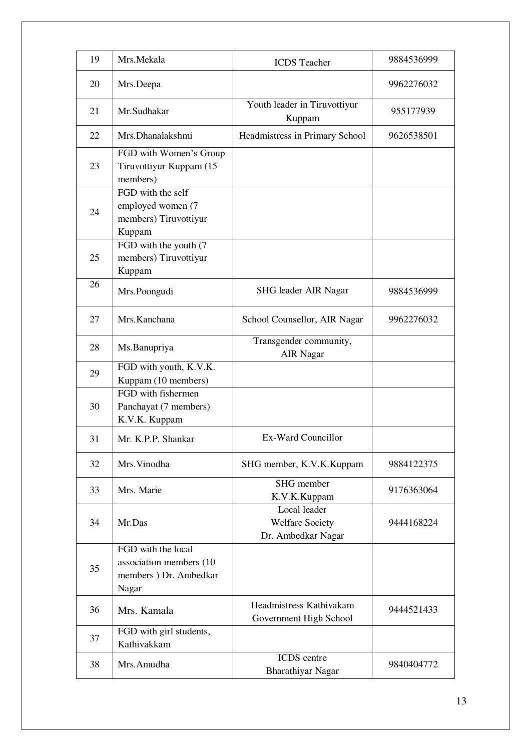| 19 | Mrs.Mekala                                                                       | <b>ICDS</b> Teacher                                          | 9884536999 |
|----|----------------------------------------------------------------------------------|--------------------------------------------------------------|------------|
| 20 | Mrs.Deepa                                                                        |                                                              | 9962276032 |
| 21 | Mr.Sudhakar                                                                      | Youth leader in Tiruvottiyur<br>Kuppam                       | 955177939  |
| 22 | Mrs.Dhanalakshmi                                                                 | Headmistress in Primary School                               | 9626538501 |
| 23 | FGD with Women's Group<br>Tiruvottiyur Kuppam (15<br>members)                    |                                                              |            |
| 24 | FGD with the self<br>employed women (7<br>members) Tiruvottiyur<br>Kuppam        |                                                              |            |
| 25 | FGD with the youth (7)<br>members) Tiruvottiyur<br>Kuppam                        |                                                              |            |
| 26 | Mrs.Poongudi                                                                     | SHG leader AIR Nagar                                         | 9884536999 |
| 27 | Mrs.Kanchana                                                                     | School Counsellor, AIR Nagar                                 | 9962276032 |
| 28 | Ms.Banupriya                                                                     | Transgender community,<br><b>AIR Nagar</b>                   |            |
| 29 | FGD with youth, K.V.K.<br>Kuppam (10 members)                                    |                                                              |            |
| 30 | FGD with fishermen<br>Panchayat (7 members)<br>K.V.K. Kuppam                     |                                                              |            |
| 31 | Mr. K.P.P. Shankar                                                               | Ex-Ward Councillor                                           |            |
| 32 | Mrs. Vinodha                                                                     | SHG member, K.V.K.Kuppam                                     | 9884122375 |
| 33 | Mrs. Marie                                                                       | SHG member<br>K.V.K.Kuppam                                   | 9176363064 |
| 34 | Mr.Das                                                                           | Local leader<br><b>Welfare Society</b><br>Dr. Ambedkar Nagar | 9444168224 |
| 35 | FGD with the local<br>association members (10<br>members ) Dr. Ambedkar<br>Nagar |                                                              |            |
| 36 | Mrs. Kamala                                                                      | Headmistress Kathivakam<br>Government High School            | 9444521433 |
| 37 | FGD with girl students,<br>Kathivakkam                                           |                                                              |            |
| 38 | Mrs.Amudha                                                                       | ICDS centre<br><b>Bharathiyar Nagar</b>                      | 9840404772 |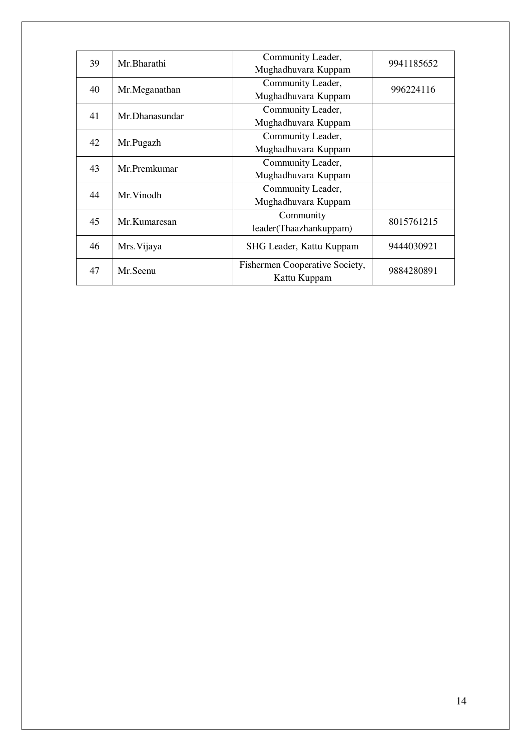| 39 | Mr.Bharathi    | Community Leader,              | 9941185652 |  |
|----|----------------|--------------------------------|------------|--|
|    |                | Mughadhuvara Kuppam            |            |  |
| 40 | Mr.Meganathan  | Community Leader,              | 996224116  |  |
|    |                | Mughadhuvara Kuppam            |            |  |
| 41 | Mr.Dhanasundar | Community Leader,              |            |  |
|    |                | Mughadhuvara Kuppam            |            |  |
| 42 | Mr.Pugazh      | Community Leader,              |            |  |
|    |                | Mughadhuvara Kuppam            |            |  |
| 43 | Mr.Premkumar   | Community Leader,              |            |  |
|    |                | Mughadhuvara Kuppam            |            |  |
|    | Mr. Vinodh     | Community Leader,              |            |  |
| 44 |                | Mughadhuvara Kuppam            |            |  |
| 45 | Mr.Kumaresan   | Community                      | 8015761215 |  |
|    |                | leader(Thaazhankuppam)         |            |  |
| 46 | Mrs. Vijaya    | SHG Leader, Kattu Kuppam       | 9444030921 |  |
|    |                |                                |            |  |
| 47 | Mr.Seenu       | Fishermen Cooperative Society, | 9884280891 |  |
|    |                | Kattu Kuppam                   |            |  |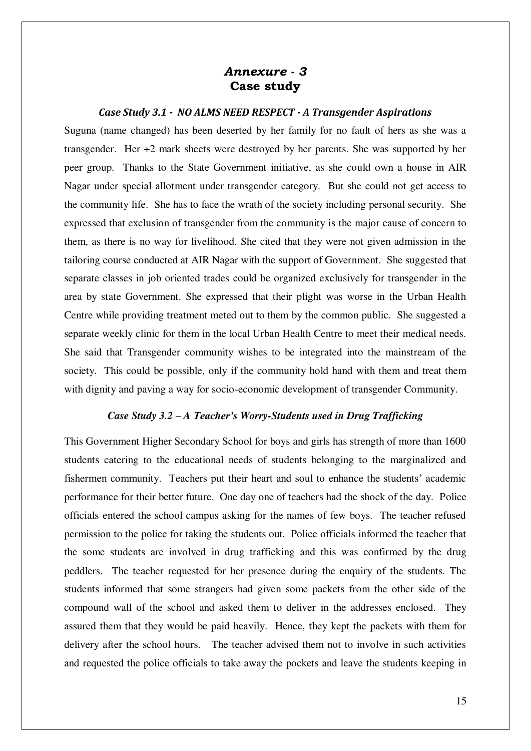# *Annexure - 3*  **Case study**

### *Case Study 3.1 - NO ALMS NEED RESPECT - A Transgender Aspirations*

Suguna (name changed) has been deserted by her family for no fault of hers as she was a transgender. Her +2 mark sheets were destroyed by her parents. She was supported by her peer group. Thanks to the State Government initiative, as she could own a house in AIR Nagar under special allotment under transgender category. But she could not get access to the community life. She has to face the wrath of the society including personal security. She expressed that exclusion of transgender from the community is the major cause of concern to them, as there is no way for livelihood. She cited that they were not given admission in the tailoring course conducted at AIR Nagar with the support of Government. She suggested that separate classes in job oriented trades could be organized exclusively for transgender in the area by state Government. She expressed that their plight was worse in the Urban Health Centre while providing treatment meted out to them by the common public. She suggested a separate weekly clinic for them in the local Urban Health Centre to meet their medical needs. She said that Transgender community wishes to be integrated into the mainstream of the society. This could be possible, only if the community hold hand with them and treat them with dignity and paving a way for socio-economic development of transgender Community.

### *Case Study 3.2 – A Teacher's Worry-Students used in Drug Trafficking*

This Government Higher Secondary School for boys and girls has strength of more than 1600 students catering to the educational needs of students belonging to the marginalized and fishermen community. Teachers put their heart and soul to enhance the students' academic performance for their better future. One day one of teachers had the shock of the day. Police officials entered the school campus asking for the names of few boys. The teacher refused permission to the police for taking the students out. Police officials informed the teacher that the some students are involved in drug trafficking and this was confirmed by the drug peddlers. The teacher requested for her presence during the enquiry of the students. The students informed that some strangers had given some packets from the other side of the compound wall of the school and asked them to deliver in the addresses enclosed. They assured them that they would be paid heavily. Hence, they kept the packets with them for delivery after the school hours. The teacher advised them not to involve in such activities and requested the police officials to take away the pockets and leave the students keeping in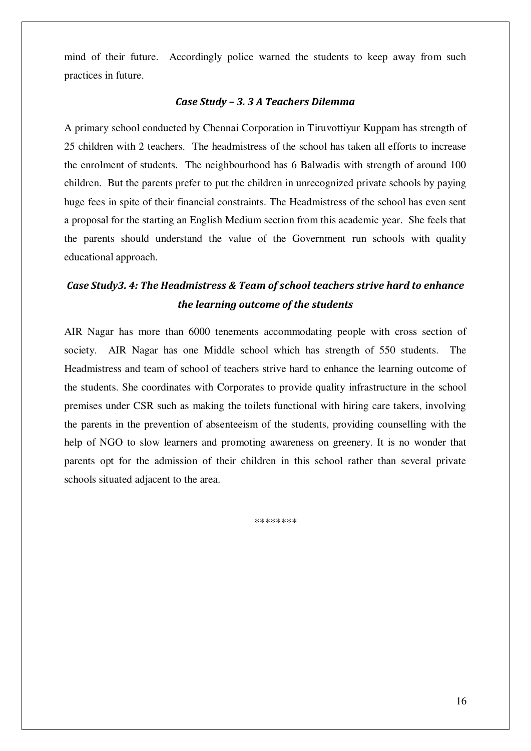mind of their future. Accordingly police warned the students to keep away from such practices in future.

#### *Case Study – 3. 3 A Teachers Dilemma*

A primary school conducted by Chennai Corporation in Tiruvottiyur Kuppam has strength of 25 children with 2 teachers. The headmistress of the school has taken all efforts to increase the enrolment of students. The neighbourhood has 6 Balwadis with strength of around 100 children. But the parents prefer to put the children in unrecognized private schools by paying huge fees in spite of their financial constraints. The Headmistress of the school has even sent a proposal for the starting an English Medium section from this academic year. She feels that the parents should understand the value of the Government run schools with quality educational approach.

# *Case Study3. 4: The Headmistress & Team of school teachers strive hard to enhance the learning outcome of the students*

AIR Nagar has more than 6000 tenements accommodating people with cross section of society. AIR Nagar has one Middle school which has strength of 550 students. The Headmistress and team of school of teachers strive hard to enhance the learning outcome of the students. She coordinates with Corporates to provide quality infrastructure in the school premises under CSR such as making the toilets functional with hiring care takers, involving the parents in the prevention of absenteeism of the students, providing counselling with the help of NGO to slow learners and promoting awareness on greenery. It is no wonder that parents opt for the admission of their children in this school rather than several private schools situated adjacent to the area.

\*\*\*\*\*\*\*\*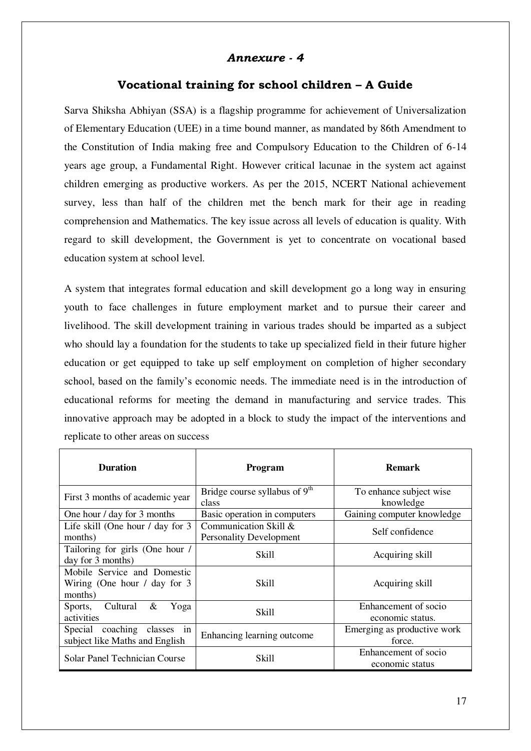## *Annexure - 4*

### **Vocational training for school children – A Guide**

Sarva Shiksha Abhiyan (SSA) is a flagship programme for achievement of Universalization of Elementary Education (UEE) in a time bound manner, as mandated by 86th Amendment to the Constitution of India making free and Compulsory Education to the Children of 6-14 years age group, a Fundamental Right. However critical lacunae in the system act against children emerging as productive workers. As per the 2015, NCERT National achievement survey, less than half of the children met the bench mark for their age in reading comprehension and Mathematics. The key issue across all levels of education is quality. With regard to skill development, the Government is yet to concentrate on vocational based education system at school level.

A system that integrates formal education and skill development go a long way in ensuring youth to face challenges in future employment market and to pursue their career and livelihood. The skill development training in various trades should be imparted as a subject who should lay a foundation for the students to take up specialized field in their future higher education or get equipped to take up self employment on completion of higher secondary school, based on the family's economic needs. The immediate need is in the introduction of educational reforms for meeting the demand in manufacturing and service trades. This innovative approach may be adopted in a block to study the impact of the interventions and replicate to other areas on success

| <b>Duration</b>                                                             | <b>Program</b>                                          | <b>Remark</b>                            |
|-----------------------------------------------------------------------------|---------------------------------------------------------|------------------------------------------|
| First 3 months of academic year                                             | Bridge course syllabus of 9 <sup>th</sup><br>class      | To enhance subject wise<br>knowledge     |
| One hour / day for 3 months                                                 | Basic operation in computers                            | Gaining computer knowledge               |
| Life skill (One hour $\ell$ day for 3<br>months)                            | Communication Skill &<br><b>Personality Development</b> | Self confidence                          |
| Tailoring for girls (One hour /<br>day for 3 months)                        | Skill                                                   | Acquiring skill                          |
| Mobile Service and Domestic<br>Wiring (One hour $\ell$ day for 3<br>months) | Skill                                                   | Acquiring skill                          |
| Sports, Cultural<br>$\&$<br>Yoga<br>activities                              | Skill                                                   | Enhancement of socio<br>economic status. |
| Special coaching classes in<br>subject like Maths and English               | Enhancing learning outcome                              | Emerging as productive work<br>force.    |
| <b>Solar Panel Technician Course</b>                                        | Skill                                                   | Enhancement of socio<br>economic status  |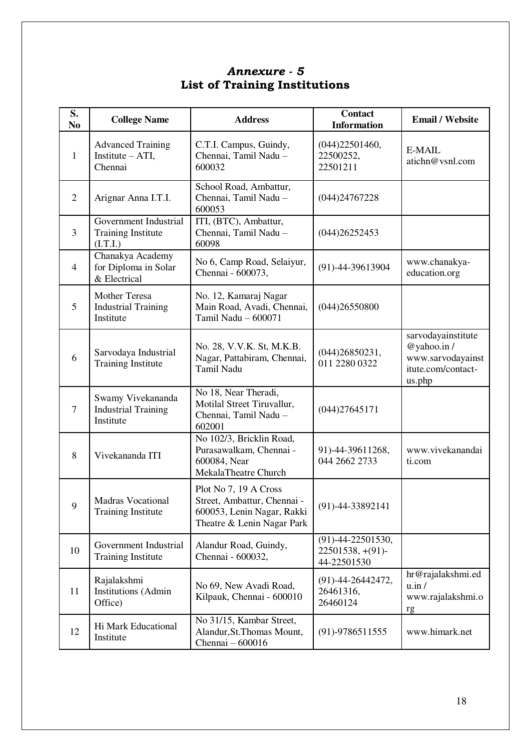| S.<br>N <sub>0</sub> | <b>College Name</b>                                            | <b>Address</b>                                                                                                   | <b>Contact</b><br><b>Information</b>                        | <b>Email / Website</b>                                                                |
|----------------------|----------------------------------------------------------------|------------------------------------------------------------------------------------------------------------------|-------------------------------------------------------------|---------------------------------------------------------------------------------------|
| $\mathbf{1}$         | <b>Advanced Training</b><br>Institute $- ATI$ ,<br>Chennai     | C.T.I. Campus, Guindy,<br>Chennai, Tamil Nadu -<br>600032                                                        | (044)22501460,<br>22500252,<br>22501211                     | E-MAIL<br>atichn@vsnl.com                                                             |
| $\overline{2}$       | Arignar Anna I.T.I.                                            | School Road, Ambattur,<br>Chennai, Tamil Nadu -<br>600053                                                        | (044)24767228                                               |                                                                                       |
| 3                    | Government Industrial<br><b>Training Institute</b><br>(I.T.I.) | ITI, (BTC), Ambattur,<br>Chennai, Tamil Nadu -<br>60098                                                          | (044)26252453                                               |                                                                                       |
| $\overline{4}$       | Chanakya Academy<br>for Diploma in Solar<br>& Electrical       | No 6, Camp Road, Selaiyur,<br>Chennai - 600073,                                                                  | $(91) - 44 - 39613904$                                      | www.chanakya-<br>education.org                                                        |
| 5                    | Mother Teresa<br><b>Industrial Training</b><br>Institute       | No. 12, Kamaraj Nagar<br>Main Road, Avadi, Chennai,<br>Tamil Nadu - 600071                                       | (044)26550800                                               |                                                                                       |
| 6                    | Sarvodaya Industrial<br><b>Training Institute</b>              | No. 28, V.V.K. St, M.K.B.<br>Nagar, Pattabiram, Chennai,<br>Tamil Nadu                                           | (044)26850231,<br>011 2280 0322                             | sarvodayainstitute<br>@yahoo.in/<br>www.sarvodayainst<br>itute.com/contact-<br>us.php |
| $\overline{7}$       | Swamy Vivekananda<br><b>Industrial Training</b><br>Institute   | No 18, Near Theradi,<br>Motilal Street Tiruvallur,<br>Chennai, Tamil Nadu -<br>602001                            | (044)27645171                                               |                                                                                       |
| 8                    | Vivekananda ITI                                                | No 102/3, Bricklin Road,<br>Purasawalkam, Chennai -<br>600084, Near<br>MekalaTheatre Church                      | 91)-44-39611268,<br>044 2662 2733                           | www.vivekanandai<br>ti.com                                                            |
| 9                    | <b>Madras Vocational</b><br><b>Training Institute</b>          | Plot No 7, 19 A Cross<br>Street, Ambattur, Chennai -<br>600053, Lenin Nagar, Rakki<br>Theatre & Lenin Nagar Park | $(91) - 44 - 33892141$                                      |                                                                                       |
| 10                   | Government Industrial<br><b>Training Institute</b>             | Alandur Road, Guindy,<br>Chennai - 600032,                                                                       | $(91)$ -44-22501530,<br>$22501538, + (91)$ -<br>44-22501530 |                                                                                       |
| 11                   | Rajalakshmi<br><b>Institutions</b> (Admin<br>Office)           | No 69, New Avadi Road,<br>Kilpauk, Chennai - 600010                                                              | $(91)$ -44-26442472,<br>26461316,<br>26460124               | hr@rajalakshmi.ed<br>u.in/<br>www.rajalakshmi.o<br>rg                                 |
| 12                   | Hi Mark Educational<br>Institute                               | No 31/15, Kambar Street,<br>Alandur, St. Thomas Mount,<br>Chennai - 600016                                       | $(91) - 9786511555$                                         | www.himark.net                                                                        |

# *Annexure - 5*  **List of Training Institutions**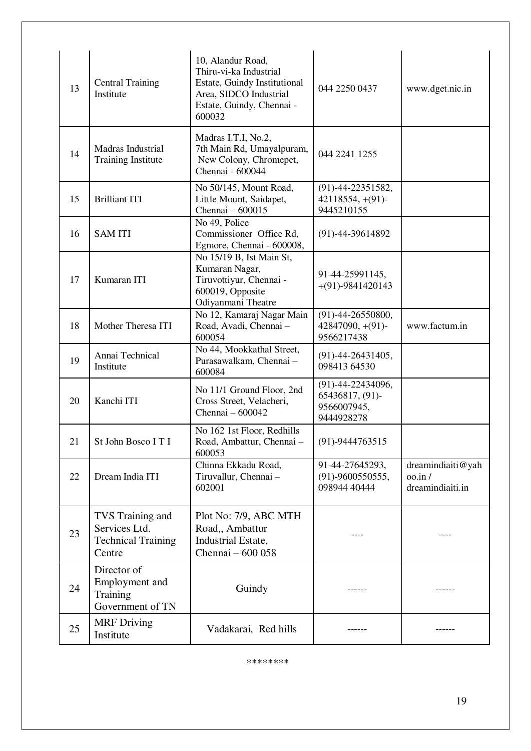| 13 | <b>Central Training</b><br>Institute                                     | 10, Alandur Road,<br>Thiru-vi-ka Industrial<br>Estate, Guindy Institutional<br>Area, SIDCO Industrial<br>Estate, Guindy, Chennai -<br>600032 | 044 2250 0437                                                           | www.dget.nic.in                                                 |
|----|--------------------------------------------------------------------------|----------------------------------------------------------------------------------------------------------------------------------------------|-------------------------------------------------------------------------|-----------------------------------------------------------------|
| 14 | Madras Industrial<br><b>Training Institute</b>                           | Madras I.T.I, No.2,<br>7th Main Rd, Umayalpuram,<br>New Colony, Chromepet,<br>Chennai - 600044                                               | 044 2241 1255                                                           |                                                                 |
| 15 | <b>Brilliant ITI</b>                                                     | No 50/145, Mount Road,<br>Little Mount, Saidapet,<br>Chennai - 600015                                                                        | $(91)$ -44-22351582,<br>$42118554, + (91)$<br>9445210155                |                                                                 |
| 16 | <b>SAM ITI</b>                                                           | No 49, Police<br>Commissioner Office Rd,<br>Egmore, Chennai - 600008,                                                                        | $(91) - 44 - 39614892$                                                  |                                                                 |
| 17 | Kumaran ITI                                                              | No 15/19 B, Ist Main St,<br>Kumaran Nagar,<br>Tiruvottiyur, Chennai -<br>600019, Opposite<br>Odiyanmani Theatre                              | 91-44-25991145,<br>$+(91) - 9841420143$                                 |                                                                 |
| 18 | Mother Theresa ITI                                                       | No 12, Kamaraj Nagar Main<br>Road, Avadi, Chennai-<br>600054                                                                                 | $(91) - 44 - 26550800,$<br>$42847090, + (91)$ -<br>9566217438           | www.factum.in                                                   |
| 19 | Annai Technical<br>Institute                                             | No 44, Mookkathal Street,<br>Purasawalkam, Chennai-<br>600084                                                                                | $(91)$ -44-26431405,<br>098413 64530                                    |                                                                 |
| 20 | Kanchi ITI                                                               | No 11/1 Ground Floor, 2nd<br>Cross Street, Velacheri,<br>Chennai $-600042$                                                                   | $(91) - 44 - 22434096,$<br>65436817, (91)-<br>9566007945,<br>9444928278 |                                                                 |
| 21 | St John Bosco I T I                                                      | No 162 1st Floor, Redhills<br>Road, Ambattur, Chennai-<br>600053                                                                             | $(91) - 9444763515$                                                     |                                                                 |
| 22 | Dream India ITI                                                          | Chinna Ekkadu Road,<br>Tiruvallur, Chennai -<br>602001                                                                                       | 91-44-27645293,<br>$(91) - 9600550555$ ,<br>098944 40444                | dreamindiaiti@yah<br>$\cos$ <sub>in</sub> /<br>dreamindiaiti.in |
| 23 | TVS Training and<br>Services Ltd.<br><b>Technical Training</b><br>Centre | Plot No: 7/9, ABC MTH<br>Road,, Ambattur<br>Industrial Estate,<br>Chennai - 600 058                                                          |                                                                         |                                                                 |
| 24 | Director of<br>Employment and<br>Training<br>Government of TN            | Guindy                                                                                                                                       |                                                                         |                                                                 |
| 25 | <b>MRF</b> Driving<br>Institute                                          | Vadakarai, Red hills                                                                                                                         |                                                                         |                                                                 |

\*\*\*\*\*\*\*\*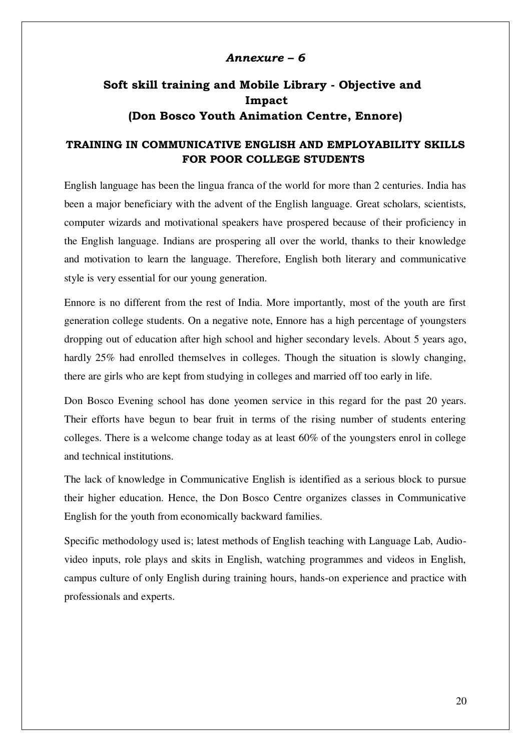### *Annexure – 6*

# **Soft skill training and Mobile Library - Objective and Impact (Don Bosco Youth Animation Centre, Ennore)**

## **TRAINING IN COMMUNICATIVE ENGLISH AND EMPLOYABILITY SKILLS FOR POOR COLLEGE STUDENTS**

English language has been the lingua franca of the world for more than 2 centuries. India has been a major beneficiary with the advent of the English language. Great scholars, scientists, computer wizards and motivational speakers have prospered because of their proficiency in the English language. Indians are prospering all over the world, thanks to their knowledge and motivation to learn the language. Therefore, English both literary and communicative style is very essential for our young generation.

Ennore is no different from the rest of India. More importantly, most of the youth are first generation college students. On a negative note, Ennore has a high percentage of youngsters dropping out of education after high school and higher secondary levels. About 5 years ago, hardly 25% had enrolled themselves in colleges. Though the situation is slowly changing, there are girls who are kept from studying in colleges and married off too early in life.

Don Bosco Evening school has done yeomen service in this regard for the past 20 years. Their efforts have begun to bear fruit in terms of the rising number of students entering colleges. There is a welcome change today as at least 60% of the youngsters enrol in college and technical institutions.

The lack of knowledge in Communicative English is identified as a serious block to pursue their higher education. Hence, the Don Bosco Centre organizes classes in Communicative English for the youth from economically backward families.

Specific methodology used is; latest methods of English teaching with Language Lab, Audiovideo inputs, role plays and skits in English, watching programmes and videos in English, campus culture of only English during training hours, hands-on experience and practice with professionals and experts.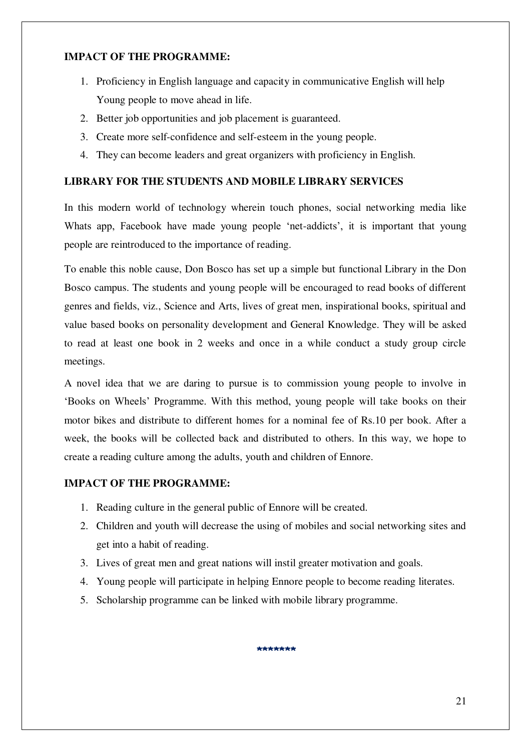### **IMPACT OF THE PROGRAMME:**

- 1. Proficiency in English language and capacity in communicative English will help Young people to move ahead in life.
- 2. Better job opportunities and job placement is guaranteed.
- 3. Create more self-confidence and self-esteem in the young people.
- 4. They can become leaders and great organizers with proficiency in English.

# **LIBRARY FOR THE STUDENTS AND MOBILE LIBRARY SERVICES**

In this modern world of technology wherein touch phones, social networking media like Whats app, Facebook have made young people 'net-addicts', it is important that young people are reintroduced to the importance of reading.

To enable this noble cause, Don Bosco has set up a simple but functional Library in the Don Bosco campus. The students and young people will be encouraged to read books of different genres and fields, viz., Science and Arts, lives of great men, inspirational books, spiritual and value based books on personality development and General Knowledge. They will be asked to read at least one book in 2 weeks and once in a while conduct a study group circle meetings.

A novel idea that we are daring to pursue is to commission young people to involve in 'Books on Wheels' Programme. With this method, young people will take books on their motor bikes and distribute to different homes for a nominal fee of Rs.10 per book. After a week, the books will be collected back and distributed to others. In this way, we hope to create a reading culture among the adults, youth and children of Ennore.

# **IMPACT OF THE PROGRAMME:**

- 1. Reading culture in the general public of Ennore will be created.
- 2. Children and youth will decrease the using of mobiles and social networking sites and get into a habit of reading.
- 3. Lives of great men and great nations will instil greater motivation and goals.
- 4. Young people will participate in helping Ennore people to become reading literates.
- 5. Scholarship programme can be linked with mobile library programme.

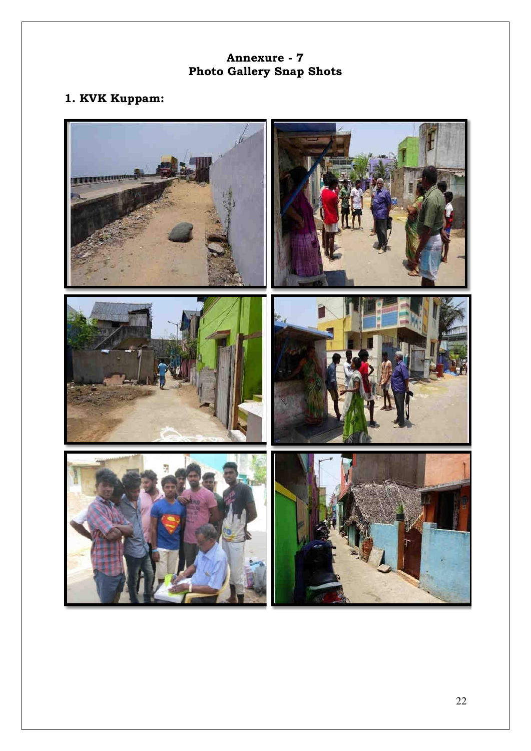# **Annexure - 7 Photo Gallery Snap Shots**

# **1. KVK Kuppam:**

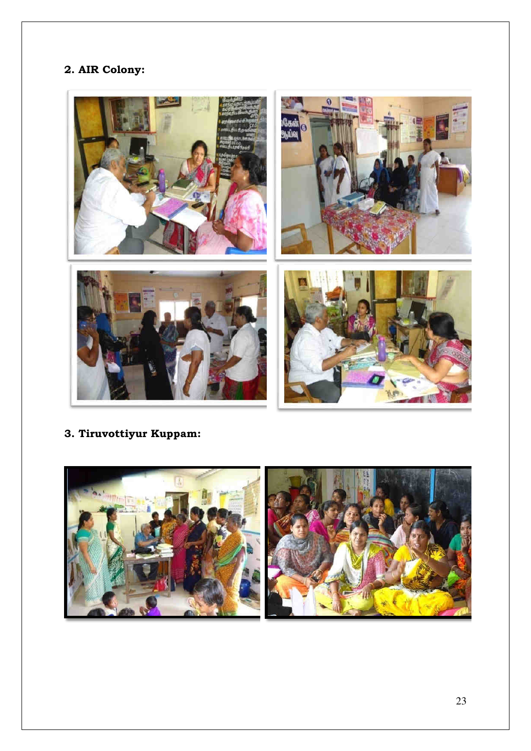# **2. AIR Colony:**



**3. Tiruvottiyur Kuppam:** 

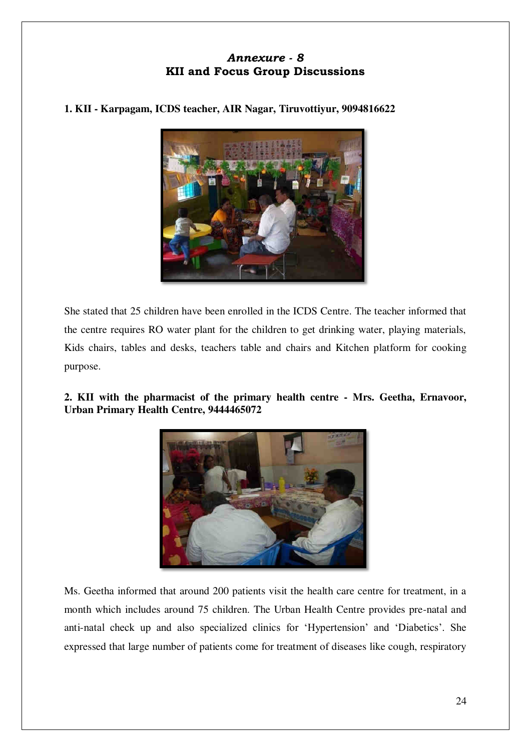# *Annexure - 8*  **KII and Focus Group Discussions**

## **1. KII - Karpagam, ICDS teacher, AIR Nagar, Tiruvottiyur, 9094816622**



She stated that 25 children have been enrolled in the ICDS Centre. The teacher informed that the centre requires RO water plant for the children to get drinking water, playing materials, Kids chairs, tables and desks, teachers table and chairs and Kitchen platform for cooking purpose.

## **2. KII with the pharmacist of the primary health centre - Mrs. Geetha, Ernavoor, Urban Primary Health Centre, 9444465072**



Ms. Geetha informed that around 200 patients visit the health care centre for treatment, in a month which includes around 75 children. The Urban Health Centre provides pre-natal and anti-natal check up and also specialized clinics for 'Hypertension' and 'Diabetics'. She expressed that large number of patients come for treatment of diseases like cough, respiratory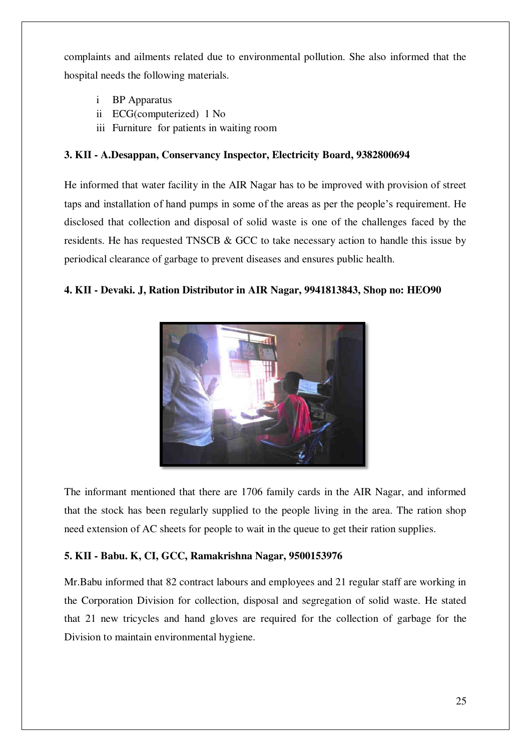complaints and ailments related due to environmental pollution. She also informed that the hospital needs the following materials.

- i BP Apparatus
- ii ECG(computerized) 1 No
- iii Furniture for patients in waiting room

### **3. KII - A.Desappan, Conservancy Inspector, Electricity Board, 9382800694**

He informed that water facility in the AIR Nagar has to be improved with provision of street taps and installation of hand pumps in some of the areas as per the people's requirement. He disclosed that collection and disposal of solid waste is one of the challenges faced by the residents. He has requested TNSCB & GCC to take necessary action to handle this issue by periodical clearance of garbage to prevent diseases and ensures public health.

### **4. KII - Devaki. J, Ration Distributor in AIR Nagar, 9941813843, Shop no: HEO90**



The informant mentioned that there are 1706 family cards in the AIR Nagar, and informed that the stock has been regularly supplied to the people living in the area. The ration shop need extension of AC sheets for people to wait in the queue to get their ration supplies.

### **5. KII - Babu. K, CI, GCC, Ramakrishna Nagar, 9500153976**

Mr.Babu informed that 82 contract labours and employees and 21 regular staff are working in the Corporation Division for collection, disposal and segregation of solid waste. He stated that 21 new tricycles and hand gloves are required for the collection of garbage for the Division to maintain environmental hygiene.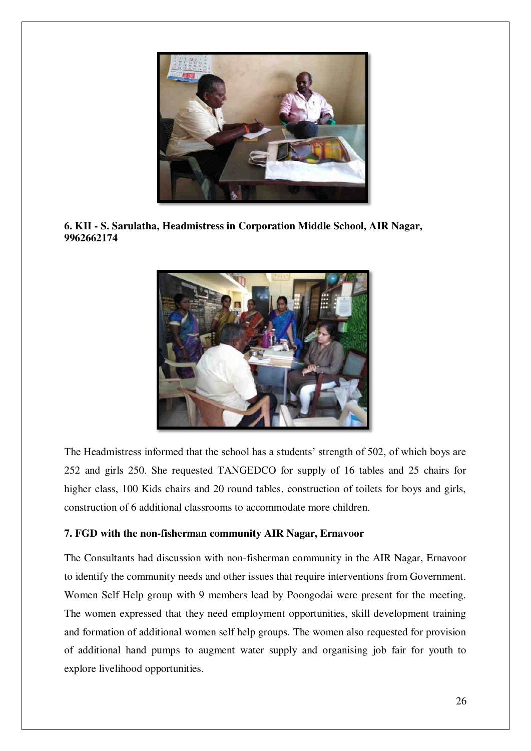

**6. KII - S. Sarulatha, Headmistress in Corporation Middle School, AIR Nagar, 9962662174** 



The Headmistress informed that the school has a students' strength of 502, of which boys are 252 and girls 250. She requested TANGEDCO for supply of 16 tables and 25 chairs for higher class, 100 Kids chairs and 20 round tables, construction of toilets for boys and girls, construction of 6 additional classrooms to accommodate more children.

### **7. FGD with the non-fisherman community AIR Nagar, Ernavoor**

The Consultants had discussion with non-fisherman community in the AIR Nagar, Ernavoor to identify the community needs and other issues that require interventions from Government. Women Self Help group with 9 members lead by Poongodai were present for the meeting. The women expressed that they need employment opportunities, skill development training and formation of additional women self help groups. The women also requested for provision of additional hand pumps to augment water supply and organising job fair for youth to explore livelihood opportunities.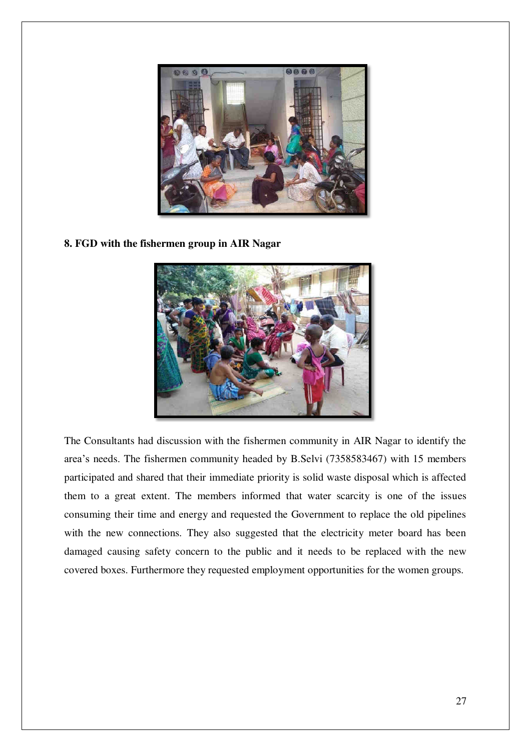

**8. FGD with the fishermen group in AIR Nagar** 



The Consultants had discussion with the fishermen community in AIR Nagar to identify the area's needs. The fishermen community headed by B.Selvi (7358583467) with 15 members participated and shared that their immediate priority is solid waste disposal which is affected them to a great extent. The members informed that water scarcity is one of the issues consuming their time and energy and requested the Government to replace the old pipelines with the new connections. They also suggested that the electricity meter board has been damaged causing safety concern to the public and it needs to be replaced with the new covered boxes. Furthermore they requested employment opportunities for the women groups.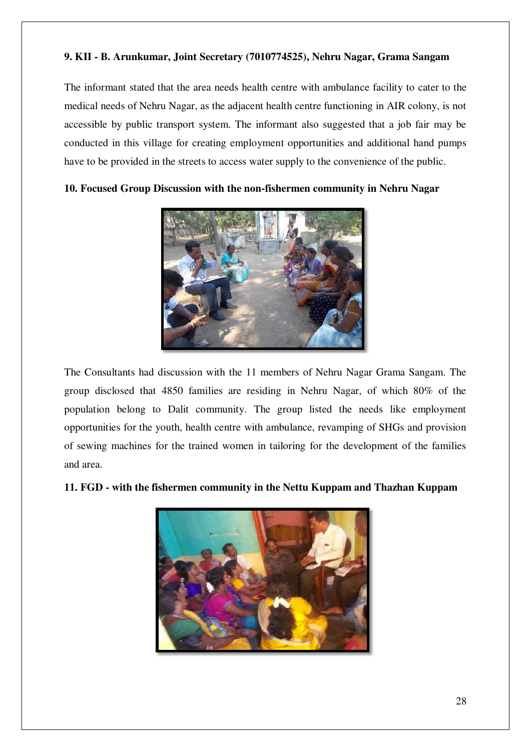## **9. KII - B. Arunkumar, Joint Secretary (7010774525), Nehru Nagar, Grama Sangam**

The informant stated that the area needs health centre with ambulance facility to cater to the medical needs of Nehru Nagar, as the adjacent health centre functioning in AIR colony, is not accessible by public transport system. The informant also suggested that a job fair may be conducted in this village for creating employment opportunities and additional hand pumps have to be provided in the streets to access water supply to the convenience of the public.



**10. Focused Group Discussion with the non-fishermen community in Nehru Nagar** 

The Consultants had discussion with the 11 members of Nehru Nagar Grama Sangam. The group disclosed that 4850 families are residing in Nehru Nagar, of which 80% of the population belong to Dalit community. The group listed the needs like employment opportunities for the youth, health centre with ambulance, revamping of SHGs and provision of sewing machines for the trained women in tailoring for the development of the families and area.



### **11. FGD - with the fishermen community in the Nettu Kuppam and Thazhan Kuppam**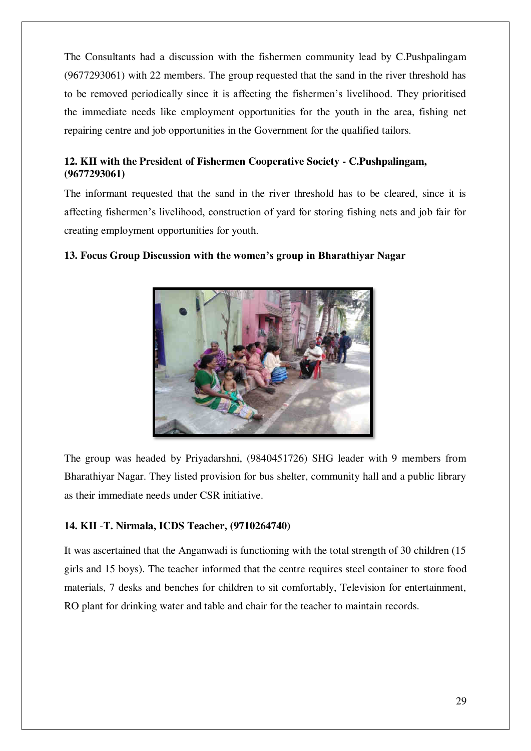The Consultants had a discussion with the fishermen community lead by C.Pushpalingam (9677293061) with 22 members. The group requested that the sand in the river threshold has to be removed periodically since it is affecting the fishermen's livelihood. They prioritised the immediate needs like employment opportunities for the youth in the area, fishing net repairing centre and job opportunities in the Government for the qualified tailors.

# **12. KII with the President of Fishermen Cooperative Society - C.Pushpalingam, (9677293061)**

The informant requested that the sand in the river threshold has to be cleared, since it is affecting fishermen's livelihood, construction of yard for storing fishing nets and job fair for creating employment opportunities for youth.



# **13. Focus Group Discussion with the women's group in Bharathiyar Nagar**

The group was headed by Priyadarshni, (9840451726) SHG leader with 9 members from Bharathiyar Nagar. They listed provision for bus shelter, community hall and a public library as their immediate needs under CSR initiative.

# **14. KII** -**T. Nirmala, ICDS Teacher, (9710264740)**

It was ascertained that the Anganwadi is functioning with the total strength of 30 children (15 girls and 15 boys). The teacher informed that the centre requires steel container to store food materials, 7 desks and benches for children to sit comfortably, Television for entertainment, RO plant for drinking water and table and chair for the teacher to maintain records.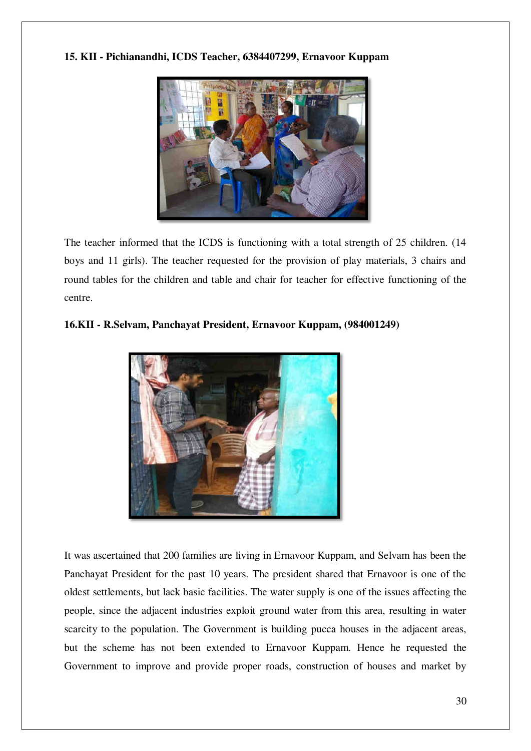**15. KII - Pichianandhi, ICDS Teacher, 6384407299, Ernavoor Kuppam** 



The teacher informed that the ICDS is functioning with a total strength of 25 children. (14 boys and 11 girls). The teacher requested for the provision of play materials, 3 chairs and round tables for the children and table and chair for teacher for effective functioning of the centre.

## **16.KII - R.Selvam, Panchayat President, Ernavoor Kuppam, (984001249)**



It was ascertained that 200 families are living in Ernavoor Kuppam, and Selvam has been the Panchayat President for the past 10 years. The president shared that Ernavoor is one of the oldest settlements, but lack basic facilities. The water supply is one of the issues affecting the people, since the adjacent industries exploit ground water from this area, resulting in water scarcity to the population. The Government is building pucca houses in the adjacent areas, but the scheme has not been extended to Ernavoor Kuppam. Hence he requested the Government to improve and provide proper roads, construction of houses and market by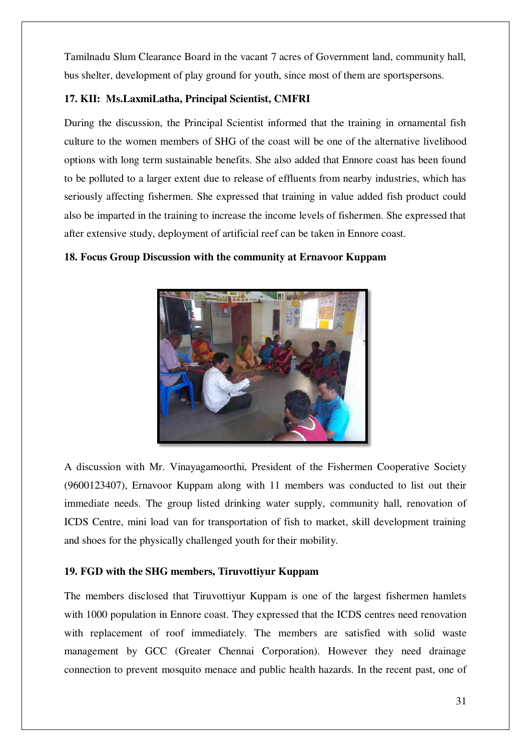Tamilnadu Slum Clearance Board in the vacant 7 acres of Government land, community hall, bus shelter, development of play ground for youth, since most of them are sportspersons.

## **17. KII: Ms.LaxmiLatha, Principal Scientist, CMFRI**

During the discussion, the Principal Scientist informed that the training in ornamental fish culture to the women members of SHG of the coast will be one of the alternative livelihood options with long term sustainable benefits. She also added that Ennore coast has been found to be polluted to a larger extent due to release of effluents from nearby industries, which has seriously affecting fishermen. She expressed that training in value added fish product could also be imparted in the training to increase the income levels of fishermen. She expressed that after extensive study, deployment of artificial reef can be taken in Ennore coast.

### **18. Focus Group Discussion with the community at Ernavoor Kuppam**



A discussion with Mr. Vinayagamoorthi, President of the Fishermen Cooperative Society (9600123407), Ernavoor Kuppam along with 11 members was conducted to list out their immediate needs. The group listed drinking water supply, community hall, renovation of ICDS Centre, mini load van for transportation of fish to market, skill development training and shoes for the physically challenged youth for their mobility.

### **19. FGD with the SHG members, Tiruvottiyur Kuppam**

The members disclosed that Tiruvottiyur Kuppam is one of the largest fishermen hamlets with 1000 population in Ennore coast. They expressed that the ICDS centres need renovation with replacement of roof immediately. The members are satisfied with solid waste management by GCC (Greater Chennai Corporation). However they need drainage connection to prevent mosquito menace and public health hazards. In the recent past, one of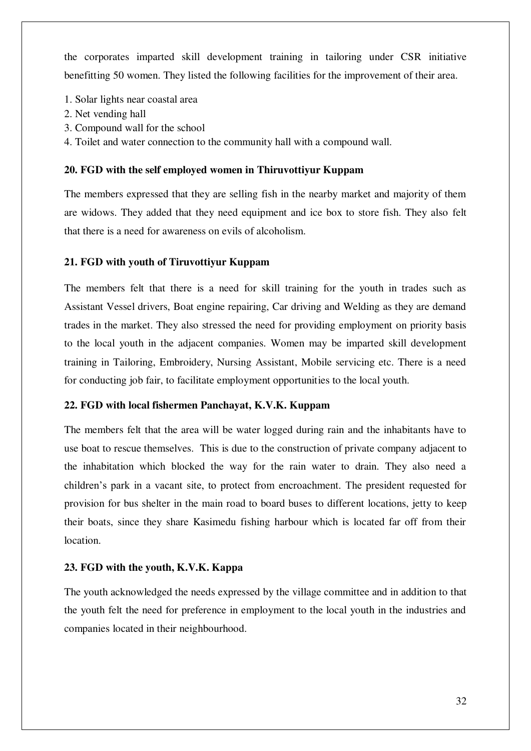the corporates imparted skill development training in tailoring under CSR initiative benefitting 50 women. They listed the following facilities for the improvement of their area.

- 1. Solar lights near coastal area
- 2. Net vending hall
- 3. Compound wall for the school
- 4. Toilet and water connection to the community hall with a compound wall.

### **20. FGD with the self employed women in Thiruvottiyur Kuppam**

The members expressed that they are selling fish in the nearby market and majority of them are widows. They added that they need equipment and ice box to store fish. They also felt that there is a need for awareness on evils of alcoholism.

### **21. FGD with youth of Tiruvottiyur Kuppam**

The members felt that there is a need for skill training for the youth in trades such as Assistant Vessel drivers, Boat engine repairing, Car driving and Welding as they are demand trades in the market. They also stressed the need for providing employment on priority basis to the local youth in the adjacent companies. Women may be imparted skill development training in Tailoring, Embroidery, Nursing Assistant, Mobile servicing etc. There is a need for conducting job fair, to facilitate employment opportunities to the local youth.

### **22. FGD with local fishermen Panchayat, K.V.K. Kuppam**

The members felt that the area will be water logged during rain and the inhabitants have to use boat to rescue themselves. This is due to the construction of private company adjacent to the inhabitation which blocked the way for the rain water to drain. They also need a children's park in a vacant site, to protect from encroachment. The president requested for provision for bus shelter in the main road to board buses to different locations, jetty to keep their boats, since they share Kasimedu fishing harbour which is located far off from their location.

### **23. FGD with the youth, K.V.K. Kappa**

The youth acknowledged the needs expressed by the village committee and in addition to that the youth felt the need for preference in employment to the local youth in the industries and companies located in their neighbourhood.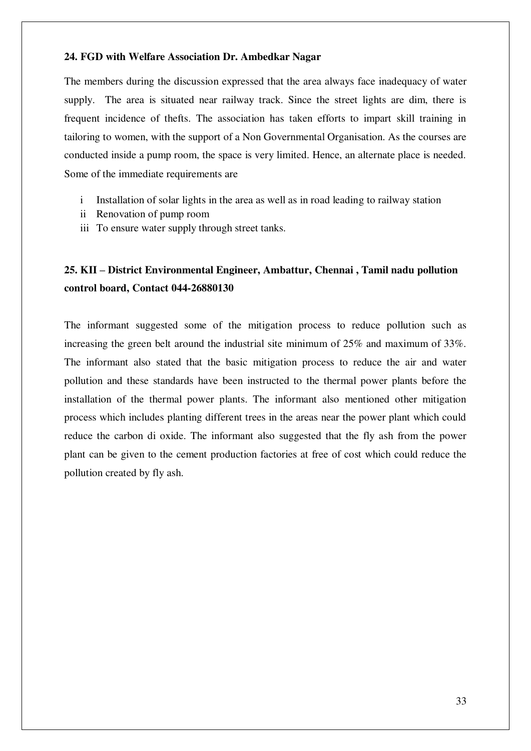### **24. FGD with Welfare Association Dr. Ambedkar Nagar**

The members during the discussion expressed that the area always face inadequacy of water supply. The area is situated near railway track. Since the street lights are dim, there is frequent incidence of thefts. The association has taken efforts to impart skill training in tailoring to women, with the support of a Non Governmental Organisation. As the courses are conducted inside a pump room, the space is very limited. Hence, an alternate place is needed. Some of the immediate requirements are

- i Installation of solar lights in the area as well as in road leading to railway station
- ii Renovation of pump room
- iii To ensure water supply through street tanks.

# **25. KII – District Environmental Engineer, Ambattur, Chennai , Tamil nadu pollution control board, Contact 044-26880130**

The informant suggested some of the mitigation process to reduce pollution such as increasing the green belt around the industrial site minimum of 25% and maximum of 33%. The informant also stated that the basic mitigation process to reduce the air and water pollution and these standards have been instructed to the thermal power plants before the installation of the thermal power plants. The informant also mentioned other mitigation process which includes planting different trees in the areas near the power plant which could reduce the carbon di oxide. The informant also suggested that the fly ash from the power plant can be given to the cement production factories at free of cost which could reduce the pollution created by fly ash.